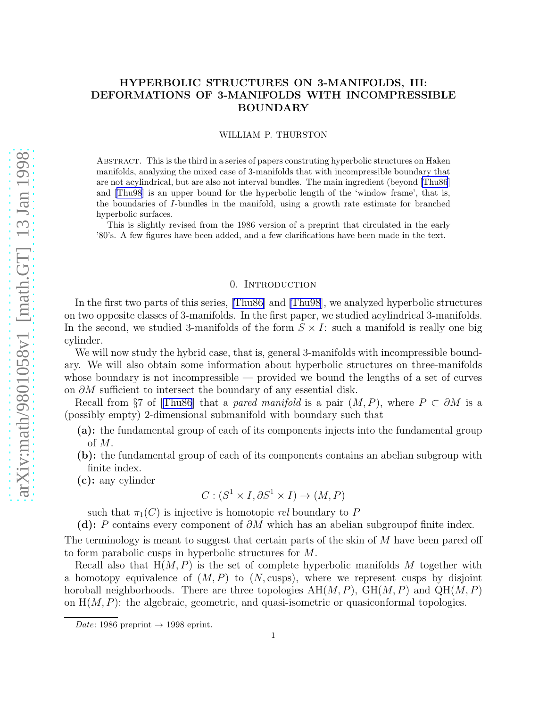# HYPERBOLIC STRUCTURES ON 3-MANIFOLDS, III: DEFORMATIONS OF 3-MANIFOLDS WITH INCOMPRESSIBLE BOUNDARY

#### WILLIAM P. THURSTON

Abstract. This is the third in a series of papers construting hyperbolic structures on Haken manifolds, analyzing the mixed case of 3-manifolds that with incompressible boundary that are not acylindrical, but are also not interval bundles. The main ingredient (beyond [\[Thu86](#page-18-0)] and[[Thu98\]](#page-18-0) is an upper bound for the hyperbolic length of the 'window frame', that is, the boundaries of I-bundles in the manifold, using a growth rate estimate for branched hyperbolic surfaces.

This is slightly revised from the 1986 version of a preprint that circulated in the early '80's. A few figures have been added, and a few clarifications have been made in the text.

## 0. Introduction

In the first two parts of this series,[[Thu86\]](#page-18-0) and [\[Thu98](#page-18-0)], we analyzed hyperbolic structures on two opposite classes of 3-manifolds. In the first paper, we studied acylindrical 3-manifolds. In the second, we studied 3-manifolds of the form  $S \times I$ : such a manifold is really one big cylinder.

We will now study the hybrid case, that is, general 3-manifolds with incompressible boundary. We will also obtain some information about hyperbolic structures on three-manifolds whose boundary is not incompressible  $-$  provided we bound the lengths of a set of curves on  $\partial M$  sufficient to intersect the boundary of any essential disk.

Recallfrom §7 of [[Thu86](#page-18-0)] that a pared manifold is a pair  $(M, P)$ , where  $P \subset \partial M$  is a (possibly empty) 2-dimensional submanifold with boundary such that

- (a): the fundamental group of each of its components injects into the fundamental group of M.
- (b): the fundamental group of each of its components contains an abelian subgroup with finite index.
- (c): any cylinder

$$
C: (S^1 \times I, \partial S^1 \times I) \to (M, P)
$$

such that  $\pi_1(C)$  is injective is homotopic rel boundary to P

(d): P contains every component of  $\partial M$  which has an abelian subgroupof finite index.

The terminology is meant to suggest that certain parts of the skin of  $M$  have been pared off to form parabolic cusps in hyperbolic structures for M.

Recall also that  $H(M, P)$  is the set of complete hyperbolic manifolds M together with a homotopy equivalence of  $(M, P)$  to  $(N, \text{cusps})$ , where we represent cusps by disjoint horoball neighborhoods. There are three topologies  $AH(M, P)$ ,  $GH(M, P)$  and  $QH(M, P)$ on  $H(M, P)$ : the algebraic, geometric, and quasi-isometric or quasiconformal topologies.

Date: 1986 preprint  $\rightarrow$  1998 eprint.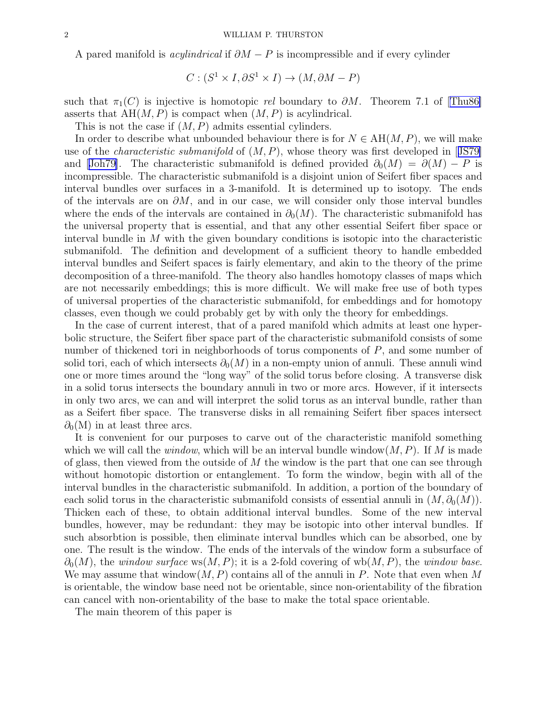<span id="page-1-0"></span>A pared manifold is *acylindrical* if  $\partial M - P$  is incompressible and if every cylinder

$$
C : (S^1 \times I, \partial S^1 \times I) \to (M, \partial M - P)
$$

suchthat  $\pi_1(C)$  is injective is homotopic *rel* boundary to  $\partial M$ . Theorem 7.1 of [[Thu86\]](#page-18-0) asserts that  $AH(M, P)$  is compact when  $(M, P)$  is acylindrical.

This is not the case if  $(M, P)$  admits essential cylinders.

In order to describe what unbounded behaviour there is for  $N \in AH(M, P)$ , we will make useof the *characteristic submanifold* of  $(M, P)$ , whose theory was first developed in [[JS79\]](#page-18-0) and[[Joh79\]](#page-18-0). The characteristic submanifold is defined provided  $\partial_0(M) = \partial(M) - P$  is incompressible. The characteristic submanifold is a disjoint union of Seifert fiber spaces and interval bundles over surfaces in a 3-manifold. It is determined up to isotopy. The ends of the intervals are on  $\partial M$ , and in our case, we will consider only those interval bundles where the ends of the intervals are contained in  $\partial_0(M)$ . The characteristic submanifold has the universal property that is essential, and that any other essential Seifert fiber space or interval bundle in M with the given boundary conditions is isotopic into the characteristic submanifold. The definition and development of a sufficient theory to handle embedded interval bundles and Seifert spaces is fairly elementary, and akin to the theory of the prime decomposition of a three-manifold. The theory also handles homotopy classes of maps which are not necessarily embeddings; this is more difficult. We will make free use of both types of universal properties of the characteristic submanifold, for embeddings and for homotopy classes, even though we could probably get by with only the theory for embeddings.

In the case of current interest, that of a pared manifold which admits at least one hyperbolic structure, the Seifert fiber space part of the characteristic submanifold consists of some number of thickened tori in neighborhoods of torus components of P, and some number of solid tori, each of which intersects  $\partial_0(M)$  in a non-empty union of annuli. These annuli wind one or more times around the "long way" of the solid torus before closing. A transverse disk in a solid torus intersects the boundary annuli in two or more arcs. However, if it intersects in only two arcs, we can and will interpret the solid torus as an interval bundle, rather than as a Seifert fiber space. The transverse disks in all remaining Seifert fiber spaces intersect  $\partial_0(M)$  in at least three arcs.

It is convenient for our purposes to carve out of the characteristic manifold something which we will call the *window*, which will be an interval bundle window $(M, P)$ . If M is made of glass, then viewed from the outside of  $M$  the window is the part that one can see through without homotopic distortion or entanglement. To form the window, begin with all of the interval bundles in the characteristic submanifold. In addition, a portion of the boundary of each solid torus in the characteristic submanifold consists of essential annuli in  $(M, \partial_0(M))$ . Thicken each of these, to obtain additional interval bundles. Some of the new interval bundles, however, may be redundant: they may be isotopic into other interval bundles. If such absorbtion is possible, then eliminate interval bundles which can be absorbed, one by one. The result is the window. The ends of the intervals of the window form a subsurface of  $\partial_0(M)$ , the window surface ws(M, P); it is a 2-fold covering of wb(M, P), the window base. We may assume that window $(M, P)$  contains all of the annuli in P. Note that even when M is orientable, the window base need not be orientable, since non-orientability of the fibration can cancel with non-orientability of the base to make the total space orientable.

The main theorem of this paper is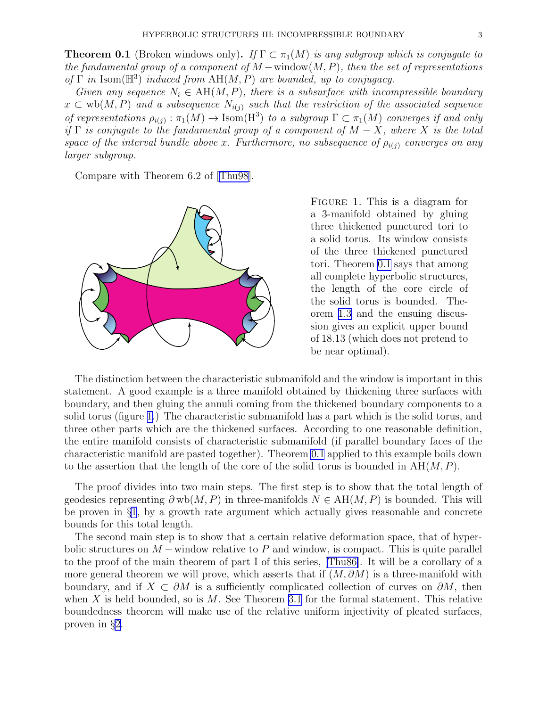<span id="page-2-0"></span>**Theorem 0.1** (Broken windows only). If  $\Gamma \subset \pi_1(M)$  is any subgroup which is conjugate to the fundamental group of a component of  $M$  –window $(M, P)$ , then the set of representations of  $\Gamma$  in Isom( $\mathbb{H}^3$ ) induced from  $AH(M, P)$  are bounded, up to conjugacy.

Given any sequence  $N_i \in AH(M, P)$ , there is a subsurface with incompressible boundary  $x \text{ }\subset \text{wb}(M, P)$  and a subsequence  $N_{i(j)}$  such that the restriction of the associated sequence of representations  $\rho_{i(j)} : \pi_1(M) \to \text{Isom}(H^3)$  to a subgroup  $\Gamma \subset \pi_1(M)$  converges if and only if  $\Gamma$  is conjugate to the fundamental group of a component of  $M - X$ , where X is the total space of the interval bundle above x. Furthermore, no subsequence of  $\rho_{i(j)}$  converges on any larger subgroup.

Compare with Theorem 6.2 of[[Thu98](#page-18-0)].



FIGURE 1. This is a diagram for a 3-manifold obtained by gluing three thickened punctured tori to a solid torus. Its window consists of the three thickened punctured tori. Theorem [0.1](#page-1-0) says that among all complete hyperbolic structures, the length of the core circle of the solid torus is bounded. Theorem [1.3](#page-7-0) and the ensuing discussion gives an explicit upper bound of 18.13 (which does not pretend to be near optimal).

The distinction between the characteristic submanifold and the window is important in this statement. A good example is a three manifold obtained by thickening three surfaces with boundary, and then gluing the annuli coming from the thickened boundary components to a solid torus (figure 1.) The characteristic submanifold has a part which is the solid torus, and three other parts which are the thickened surfaces. According to one reasonable definition, the entire manifold consists of characteristic submanifold (if parallel boundary faces of the characteristic manifold are pasted together). Theorem [0.1](#page-1-0) applied to this example boils down to the assertion that the length of the core of the solid torus is bounded in  $AH(M, P)$ .

The proof divides into two main steps. The first step is to show that the total length of geodesics representing  $\partial w b(M, P)$  in three-manifolds  $N \in AH(M, P)$  is bounded. This will be proven in §[1](#page-3-0), by a growth rate argument which actually gives reasonable and concrete bounds for this total length.

The second main step is to show that a certain relative deformation space, that of hyperbolic structures on  $M$  – window relative to P and window, is compact. This is quite parallel to the proof of the main theorem of part I of this series,[[Thu86\]](#page-18-0). It will be a corollary of a more general theorem we will prove, which asserts that if  $(M, \partial M)$  is a three-manifold with boundary, and if  $X \text{ }\subset \partial M$  is a sufficiently complicated collection of curves on  $\partial M$ , then when X is held bounded, so is  $M$ . See Theorem [3.1](#page-13-0) for the formal statement. This relative boundedness theorem will make use of the relative uniform injectivity of pleated surfaces, proven in §[2.](#page-9-0)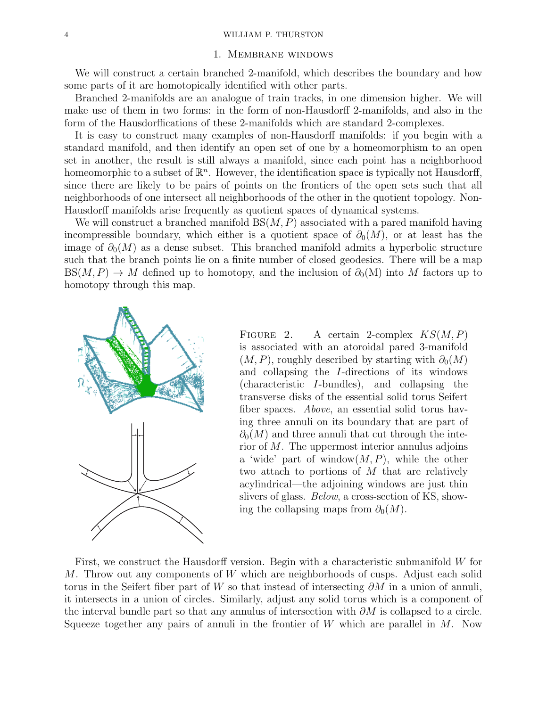## 1. Membrane windows

<span id="page-3-0"></span>We will construct a certain branched 2-manifold, which describes the boundary and how some parts of it are homotopically identified with other parts.

Branched 2-manifolds are an analogue of train tracks, in one dimension higher. We will make use of them in two forms: in the form of non-Hausdorff 2-manifolds, and also in the form of the Hausdorffications of these 2-manifolds which are standard 2-complexes.

It is easy to construct many examples of non-Hausdorff manifolds: if you begin with a standard manifold, and then identify an open set of one by a homeomorphism to an open set in another, the result is still always a manifold, since each point has a neighborhood homeomorphic to a subset of  $\mathbb{R}^n$ . However, the identification space is typically not Hausdorff, since there are likely to be pairs of points on the frontiers of the open sets such that all neighborhoods of one intersect all neighborhoods of the other in the quotient topology. Non-Hausdorff manifolds arise frequently as quotient spaces of dynamical systems.

We will construct a branched manifold  $BS(M, P)$  associated with a pared manifold having incompressible boundary, which either is a quotient space of  $\partial_0(M)$ , or at least has the image of  $\partial_0(M)$  as a dense subset. This branched manifold admits a hyperbolic structure such that the branch points lie on a finite number of closed geodesics. There will be a map  $BS(M, P) \to M$  defined up to homotopy, and the inclusion of  $\partial_0(M)$  into M factors up to homotopy through this map.



FIGURE 2. A certain 2-complex  $KS(M, P)$ is associated with an atoroidal pared 3-manifold  $(M, P)$ , roughly described by starting with  $\partial_0(M)$ and collapsing the I-directions of its windows (characteristic I-bundles), and collapsing the transverse disks of the essential solid torus Seifert fiber spaces. Above, an essential solid torus having three annuli on its boundary that are part of  $\partial_0(M)$  and three annuli that cut through the interior of M. The uppermost interior annulus adjoins a 'wide' part of window $(M, P)$ , while the other two attach to portions of M that are relatively acylindrical—the adjoining windows are just thin slivers of glass. *Below*, a cross-section of KS, showing the collapsing maps from  $\partial_0(M)$ .

First, we construct the Hausdorff version. Begin with a characteristic submanifold W for M. Throw out any components of W which are neighborhoods of cusps. Adjust each solid torus in the Seifert fiber part of W so that instead of intersecting  $\partial M$  in a union of annuli, it intersects in a union of circles. Similarly, adjust any solid torus which is a component of the interval bundle part so that any annulus of intersection with  $\partial M$  is collapsed to a circle. Squeeze together any pairs of annuli in the frontier of W which are parallel in  $M$ . Now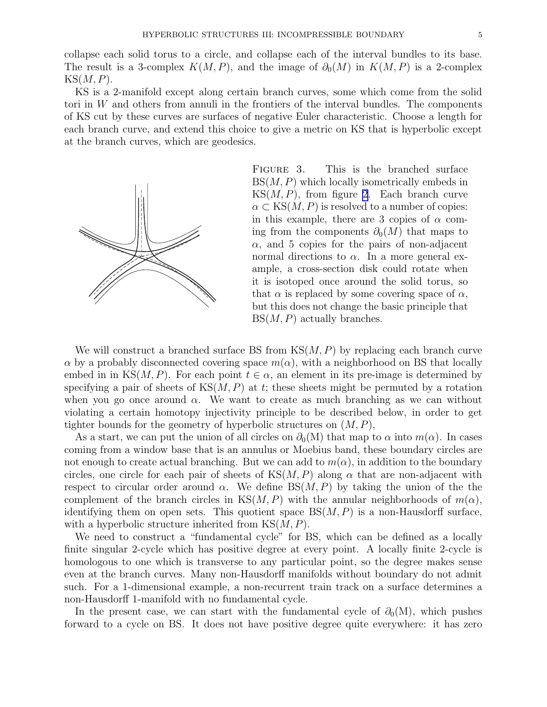collapse each solid torus to a circle, and collapse each of the interval bundles to its base. The result is a 3-complex  $K(M, P)$ , and the image of  $\partial_0(M)$  in  $K(M, P)$  is a 2-complex  $KS(M, P).$ 

KS is a 2-manifold except along certain branch curves, some which come from the solid tori in W and others from annuli in the frontiers of the interval bundles. The components of KS cut by these curves are surfaces of negative Euler characteristic. Choose a length for each branch curve, and extend this choice to give a metric on KS that is hyperbolic except at the branch curves, which are geodesics.



FIGURE 3. This is the branched surface  $BS(M, P)$  which locally isometrically embeds in  $KS(M, P)$ , from figure [2.](#page-3-0) Each branch curve  $\alpha \subset \text{KS}(M, P)$  is resolved to a number of copies: in this example, there are 3 copies of  $\alpha$  coming from the components  $\partial_0(M)$  that maps to  $\alpha$ , and 5 copies for the pairs of non-adjacent normal directions to  $\alpha$ . In a more general example, a cross-section disk could rotate when it is isotoped once around the solid torus, so that  $\alpha$  is replaced by some covering space of  $\alpha$ , but this does not change the basic principle that  $BS(M, P)$  actually branches.

We will construct a branched surface BS from  $\text{KS}(M, P)$  by replacing each branch curve  $\alpha$  by a probably disconnected covering space  $m(\alpha)$ , with a neighborhood on BS that locally embed in in KS(M, P). For each point  $t \in \alpha$ , an element in its pre-image is determined by specifying a pair of sheets of  $KS(M, P)$  at t; these sheets might be permuted by a rotation when you go once around  $\alpha$ . We want to create as much branching as we can without violating a certain homotopy injectivity principle to be described below, in order to get tighter bounds for the geometry of hyperbolic structures on  $(M, P)$ ,

As a start, we can put the union of all circles on  $\partial_0(N)$  that map to  $\alpha$  into  $m(\alpha)$ . In cases coming from a window base that is an annulus or Moebius band, these boundary circles are not enough to create actual branching. But we can add to  $m(\alpha)$ , in addition to the boundary circles, one circle for each pair of sheets of  $KS(M, P)$  along  $\alpha$  that are non-adjacent with respect to circular order around  $\alpha$ . We define  $BS(M, P)$  by taking the union of the the complement of the branch circles in KS $(M, P)$  with the annular neighborhoods of  $m(\alpha)$ , identifying them on open sets. This quotient space  $BS(M, P)$  is a non-Hausdorff surface, with a hyperbolic structure inherited from  $KS(M, P)$ .

We need to construct a "fundamental cycle" for BS, which can be defined as a locally finite singular 2-cycle which has positive degree at every point. A locally finite 2-cycle is homologous to one which is transverse to any particular point, so the degree makes sense even at the branch curves. Many non-Hausdorff manifolds without boundary do not admit such. For a 1-dimensional example, a non-recurrent train track on a surface determines a non-Hausdorff 1-manifold with no fundamental cycle.

In the present case, we can start with the fundamental cycle of  $\partial_0(M)$ , which pushes forward to a cycle on BS. It does not have positive degree quite everywhere: it has zero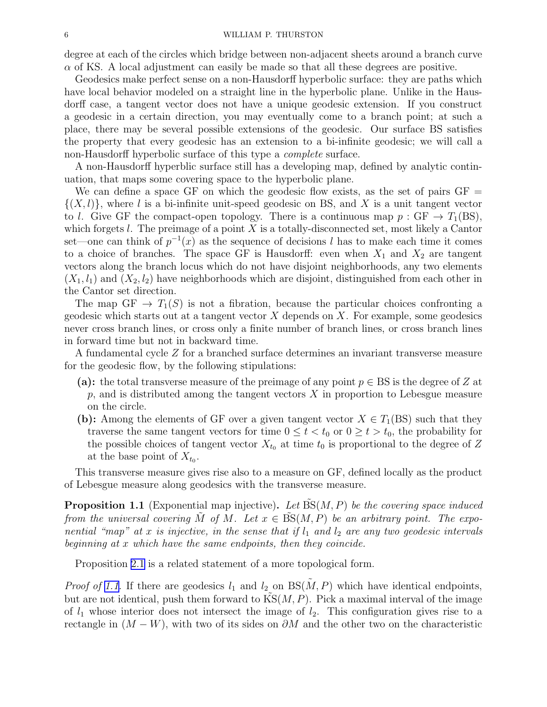<span id="page-5-0"></span>degree at each of the circles which bridge between non-adjacent sheets around a branch curve  $\alpha$  of KS. A local adjustment can easily be made so that all these degrees are positive.

Geodesics make perfect sense on a non-Hausdorff hyperbolic surface: they are paths which have local behavior modeled on a straight line in the hyperbolic plane. Unlike in the Hausdorff case, a tangent vector does not have a unique geodesic extension. If you construct a geodesic in a certain direction, you may eventually come to a branch point; at such a place, there may be several possible extensions of the geodesic. Our surface BS satisfies the property that every geodesic has an extension to a bi-infinite geodesic; we will call a non-Hausdorff hyperbolic surface of this type a complete surface.

A non-Hausdorff hyperblic surface still has a developing map, defined by analytic continuation, that maps some covering space to the hyperbolic plane.

We can define a space GF on which the geodesic flow exists, as the set of pairs  $GF =$  $\{(X, l)\}\$ , where l is a bi-infinite unit-speed geodesic on BS, and X is a unit tangent vector to l. Give GF the compact-open topology. There is a continuous map  $p : GF \rightarrow T_1(BS)$ , which forgets  $l$ . The preimage of a point  $X$  is a totally-disconnected set, most likely a Cantor set—one can think of  $p^{-1}(x)$  as the sequence of decisions l has to make each time it comes to a choice of branches. The space GF is Hausdorff: even when  $X_1$  and  $X_2$  are tangent vectors along the branch locus which do not have disjoint neighborhoods, any two elements  $(X_1, l_1)$  and  $(X_2, l_2)$  have neighborhoods which are disjoint, distinguished from each other in the Cantor set direction.

The map  $GF \to T_1(S)$  is not a fibration, because the particular choices confronting a geodesic which starts out at a tangent vector  $X$  depends on  $X$ . For example, some geodesics never cross branch lines, or cross only a finite number of branch lines, or cross branch lines in forward time but not in backward time.

A fundamental cycle Z for a branched surface determines an invariant transverse measure for the geodesic flow, by the following stipulations:

- (a): the total transverse measure of the preimage of any point  $p \in BS$  is the degree of Z at  $p$ , and is distributed among the tangent vectors  $X$  in proportion to Lebesgue measure on the circle.
- (b): Among the elements of GF over a given tangent vector  $X \in T_1(SS)$  such that they traverse the same tangent vectors for time  $0 \le t < t_0$  or  $0 \ge t > t_0$ , the probability for the possible choices of tangent vector  $X_{t_0}$  at time  $t_0$  is proportional to the degree of Z at the base point of  $X_{t_0}$ .

This transverse measure gives rise also to a measure on GF, defined locally as the product of Lebesgue measure along geodesics with the transverse measure.

**Proposition 1.1** (Exponential map injective). Let  $BS(M, P)$  be the covering space induced from the universal covering M of M. Let  $x \in BS(M, P)$  be an arbitrary point. The exponential "map" at x is injective, in the sense that if  $l_1$  and  $l_2$  are any two geodesic intervals beginning at x which have the same endpoints, then they coincide.

Proposition [2.1](#page-9-0) is a related statement of a more topological form.

*Proof of 1.1.* If there are geodesics  $l_1$  and  $l_2$  on  $BS(M, P)$  which have identical endpoints, but are not identical, push them forward to  $KS(M, P)$ . Pick a maximal interval of the image of  $l_1$  whose interior does not intersect the image of  $l_2$ . This configuration gives rise to a rectangle in  $(M - W)$ , with two of its sides on  $\partial M$  and the other two on the characteristic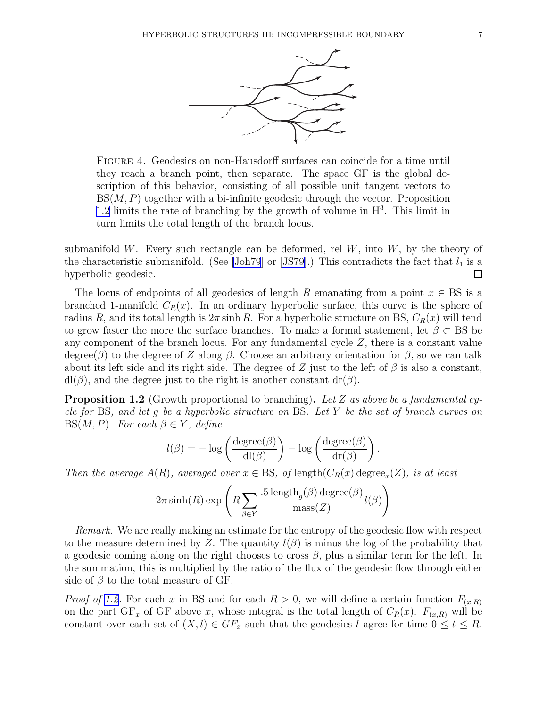

<span id="page-6-0"></span>Figure 4. Geodesics on non-Hausdorff surfaces can coincide for a time until they reach a branch point, then separate. The space GF is the global description of this behavior, consisting of all possible unit tangent vectors to  $BS(M, P)$  together with a bi-infinite geodesic through the vector. Proposition 1.2 limits the rate of branching by the growth of volume in  $H^3$ . This limit in turn limits the total length of the branch locus.

submanifold W. Every such rectangle can be deformed, rel  $W$ , into  $W$ , by the theory of the characteristic submanifold. (See [\[Joh79](#page-18-0)] or [\[JS79\]](#page-18-0).) This contradicts the fact that  $l_1$  is a hyperbolic geodesic.  $\Box$ 

The locus of endpoints of all geodesics of length R emanating from a point  $x \in BS$  is a branched 1-manifold  $C_R(x)$ . In an ordinary hyperbolic surface, this curve is the sphere of radius R, and its total length is  $2\pi \sinh R$ . For a hyperbolic structure on BS,  $C_R(x)$  will tend to grow faster the more the surface branches. To make a formal statement, let  $\beta \subset BS$  be any component of the branch locus. For any fundamental cycle  $Z$ , there is a constant value degree(β) to the degree of Z along β. Choose an arbitrary orientation for β, so we can talk about its left side and its right side. The degree of Z just to the left of  $\beta$  is also a constant,  $dl(\beta)$ , and the degree just to the right is another constant  $dr(\beta)$ .

**Proposition 1.2** (Growth proportional to branching). Let Z as above be a fundamental cycle for BS, and let g be a hyperbolic structure on BS. Let Y be the set of branch curves on  $BS(M, P)$ . For each  $\beta \in Y$ , define

$$
l(\beta) = -\log\left(\frac{\text{degree}(\beta)}{\text{dl}(\beta)}\right) - \log\left(\frac{\text{degree}(\beta)}{\text{dr}(\beta)}\right).
$$

Then the average  $A(R)$ , averaged over  $x \in BS$ , of length $(C_R(x) \deg \{c}_x(Z))$ , is at least

$$
2\pi \sinh(R) \exp\left(R \sum_{\beta \in Y} \frac{.5 \operatorname{length}_{g}(\beta) \operatorname{degree}(\beta)}{\operatorname{mass}(Z)} l(\beta)\right)
$$

Remark. We are really making an estimate for the entropy of the geodesic flow with respect to the measure determined by Z. The quantity  $l(\beta)$  is minus the log of the probability that a geodesic coming along on the right chooses to cross  $\beta$ , plus a similar term for the left. In the summation, this is multiplied by the ratio of the flux of the geodesic flow through either side of  $\beta$  to the total measure of GF.

*Proof of 1.2.* For each x in BS and for each  $R > 0$ , we will define a certain function  $F_{(x,R)}$ on the part  $GF_x$  of  $GF$  above x, whose integral is the total length of  $C_R(x)$ .  $F_{(x,R)}$  will be constant over each set of  $(X, l) \in GF_x$  such that the geodesics l agree for time  $0 \le t \le R$ .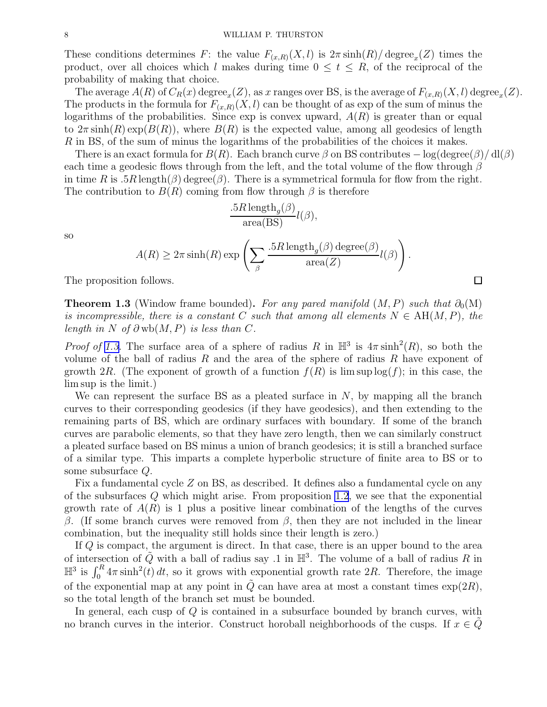<span id="page-7-0"></span>These conditions determines F: the value  $F_{(x,R)}(X, l)$  is  $2\pi \sinh(R)/\text{degree}_x(Z)$  times the product, over all choices which l makes during time  $0 \le t \le R$ , of the reciprocal of the probability of making that choice.

The average  $A(R)$  of  $C_R(x)$  degree<sub>x</sub>(Z), as x ranges over BS, is the average of  $F_{(x,R)}(X, l)$  degree<sub>x</sub>(Z). The products in the formula for  $F_{(x,R)}(X, l)$  can be thought of as exp of the sum of minus the logarithms of the probabilities. Since  $\exp$  is convex upward,  $A(R)$  is greater than or equal to  $2\pi \sinh(R) \exp(B(R))$ , where  $B(R)$  is the expected value, among all geodesics of length R in BS, of the sum of minus the logarithms of the probabilities of the choices it makes.

There is an exact formula for  $B(R)$ . Each branch curve  $\beta$  on BS contributes  $-\log(\text{degree}(\beta)/\text{d}l(\beta))$ each time a geodesic flows through from the left, and the total volume of the flow through  $\beta$ in time R is .5R length( $\beta$ ) degree( $\beta$ ). There is a symmetrical formula for flow from the right. The contribution to  $B(R)$  coming from flow through  $\beta$  is therefore

$$
\frac{.5R \operatorname{length}_{g}(\beta)}{\operatorname{area}(\operatorname{BS})} l(\beta),
$$
  

$$
A(R) \ge 2\pi \sinh(R) \exp\left(\sum_{\beta} \frac{.5R \operatorname{length}_{g}(\beta) \operatorname{degree}(\beta)}{\operatorname{area}(Z)} l(\beta)\right).
$$
  
1 follows.

The proposition follows.

**Theorem 1.3** (Window frame bounded). For any pared manifold  $(M, P)$  such that  $\partial_0(M)$ is incompressible, there is a constant C such that among all elements  $N \in AH(M, P)$ , the length in N of  $\partial$  wb(M, P) is less than C.

*Proof of 1.3.* The surface area of a sphere of radius R in  $\mathbb{H}^3$  is  $4\pi \sinh^2(R)$ , so both the volume of the ball of radius R and the area of the sphere of radius R have exponent of growth 2R. (The exponent of growth of a function  $f(R)$  is lim sup  $log(f)$ ; in this case, the lim sup is the limit.)

We can represent the surface BS as a pleated surface in  $N$ , by mapping all the branch curves to their corresponding geodesics (if they have geodesics), and then extending to the remaining parts of BS, which are ordinary surfaces with boundary. If some of the branch curves are parabolic elements, so that they have zero length, then we can similarly construct a pleated surface based on BS minus a union of branch geodesics; it is still a branched surface of a similar type. This imparts a complete hyperbolic structure of finite area to BS or to some subsurface Q.

Fix a fundamental cycle Z on BS, as described. It defines also a fundamental cycle on any of the subsurfaces  $Q$  which might arise. From proposition [1.2](#page-6-0), we see that the exponential growth rate of  $A(R)$  is 1 plus a positive linear combination of the lengths of the curves β. (If some branch curves were removed from β, then they are not included in the linear combination, but the inequality still holds since their length is zero.)

If Q is compact, the argument is direct. In that case, there is an upper bound to the area of intersection of  $\tilde{Q}$  with a ball of radius say .1 in  $\mathbb{H}^3$ . The volume of a ball of radius R in  $\mathbb{H}^3$  is  $\int_0^R 4\pi \sinh^2(t) dt$ , so it grows with exponential growth rate 2R. Therefore, the image of the exponential map at any point in  $\tilde{Q}$  can have area at most a constant times  $\exp(2R)$ , so the total length of the branch set must be bounded.

In general, each cusp of Q is contained in a subsurface bounded by branch curves, with no branch curves in the interior. Construct horoball neighborhoods of the cusps. If  $x \in Q$ 

so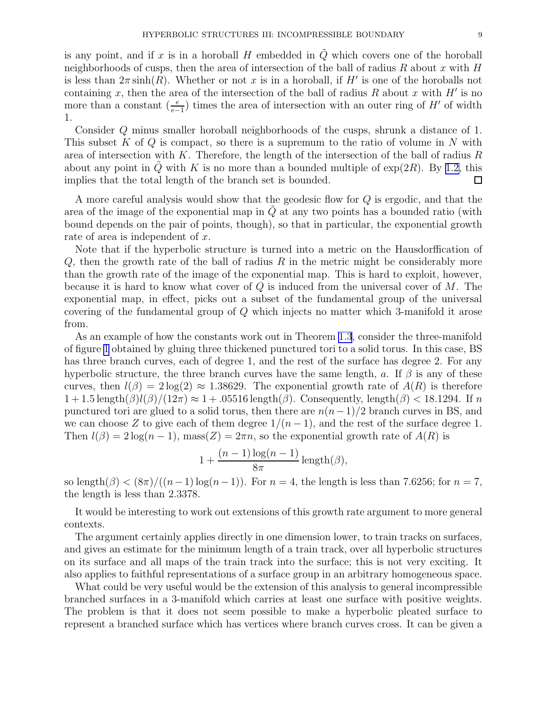is any point, and if x is in a horoball H embedded in  $\tilde{Q}$  which covers one of the horoball neighborhoods of cusps, then the area of intersection of the ball of radius R about x with H is less than  $2\pi \sinh(R)$ . Whether or not x is in a horoball, if H' is one of the horoballs not containing x, then the area of the intersection of the ball of radius R about x with  $H'$  is no more than a constant  $\left(\frac{e}{e-1}\right)$  times the area of intersection with an outer ring of H' of width 1.

Consider Q minus smaller horoball neighborhoods of the cusps, shrunk a distance of 1. This subset K of Q is compact, so there is a supremum to the ratio of volume in N with area of intersection with  $K$ . Therefore, the length of the intersection of the ball of radius  $R$ about any point in Q with K is no more than a bounded multiple of  $\exp(2R)$ . By [1.2,](#page-6-0) this implies that the total length of the branch set is bounded. □

A more careful analysis would show that the geodesic flow for Q is ergodic, and that the area of the image of the exponential map in  $Q$  at any two points has a bounded ratio (with bound depends on the pair of points, though), so that in particular, the exponential growth rate of area is independent of x.

Note that if the hyperbolic structure is turned into a metric on the Hausdorffication of  $Q$ , then the growth rate of the ball of radius  $R$  in the metric might be considerably more than the growth rate of the image of the exponential map. This is hard to exploit, however, because it is hard to know what cover of  $Q$  is induced from the universal cover of  $M$ . The exponential map, in effect, picks out a subset of the fundamental group of the universal covering of the fundamental group of Q which injects no matter which 3-manifold it arose from.

As an example of how the constants work out in Theorem [1.3](#page-7-0), consider the three-manifold of figure [1](#page-2-0) obtained by gluing three thickened punctured tori to a solid torus. In this case, BS has three branch curves, each of degree 1, and the rest of the surface has degree 2. For any hyperbolic structure, the three branch curves have the same length, a. If  $\beta$  is any of these curves, then  $l(\beta) = 2 \log(2) \approx 1.38629$ . The exponential growth rate of  $A(R)$  is therefore  $1+1.5 \text{ length}(\beta)l(\beta)/(12\pi) \approx 1+0.5516 \text{ length}(\beta)$ . Consequently, length( $\beta$ ) < 18.1294. If n punctured tori are glued to a solid torus, then there are  $n(n-1)/2$  branch curves in BS, and we can choose Z to give each of them degree  $1/(n-1)$ , and the rest of the surface degree 1. Then  $l(\beta) = 2 \log(n-1)$ , mass $(Z) = 2\pi n$ , so the exponential growth rate of  $A(R)$  is

$$
1 + \frac{(n-1)\log(n-1)}{8\pi} \operatorname{length}(\beta),
$$

so length $(\beta) < (8\pi)/((n-1)\log(n-1))$ . For  $n = 4$ , the length is less than 7.6256; for  $n = 7$ , the length is less than 2.3378.

It would be interesting to work out extensions of this growth rate argument to more general contexts.

The argument certainly applies directly in one dimension lower, to train tracks on surfaces, and gives an estimate for the minimum length of a train track, over all hyperbolic structures on its surface and all maps of the train track into the surface; this is not very exciting. It also applies to faithful representations of a surface group in an arbitrary homogeneous space.

What could be very useful would be the extension of this analysis to general incompressible branched surfaces in a 3-manifold which carries at least one surface with positive weights. The problem is that it does not seem possible to make a hyperbolic pleated surface to represent a branched surface which has vertices where branch curves cross. It can be given a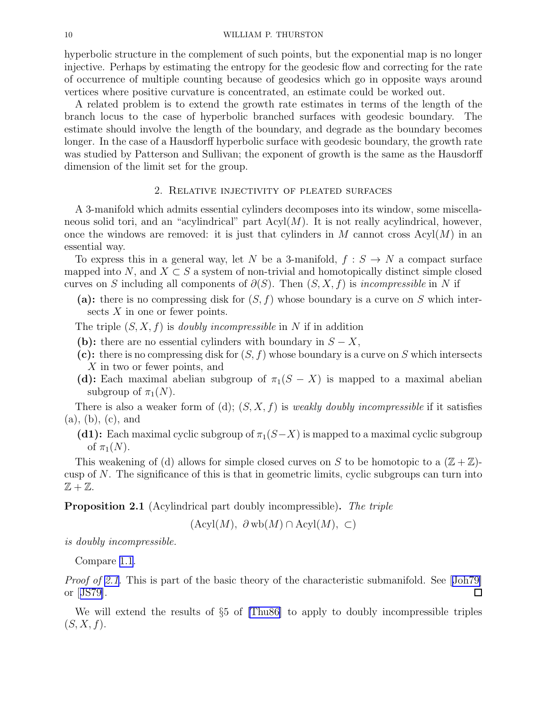<span id="page-9-0"></span>hyperbolic structure in the complement of such points, but the exponential map is no longer injective. Perhaps by estimating the entropy for the geodesic flow and correcting for the rate of occurrence of multiple counting because of geodesics which go in opposite ways around vertices where positive curvature is concentrated, an estimate could be worked out.

A related problem is to extend the growth rate estimates in terms of the length of the branch locus to the case of hyperbolic branched surfaces with geodesic boundary. The estimate should involve the length of the boundary, and degrade as the boundary becomes longer. In the case of a Hausdorff hyperbolic surface with geodesic boundary, the growth rate was studied by Patterson and Sullivan; the exponent of growth is the same as the Hausdorff dimension of the limit set for the group.

## 2. Relative injectivity of pleated surfaces

A 3-manifold which admits essential cylinders decomposes into its window, some miscellaneous solid tori, and an "acylindrical" part  $Acyl(M)$ . It is not really acylindrical, however, once the windows are removed: it is just that cylinders in M cannot cross  $\text{Acyl}(M)$  in an essential way.

To express this in a general way, let N be a 3-manifold,  $f : S \to N$  a compact surface mapped into N, and  $X \subset S$  a system of non-trivial and homotopically distinct simple closed curves on S including all components of  $\partial(S)$ . Then  $(S, X, f)$  is *incompressible* in N if

- (a): there is no compressing disk for  $(S, f)$  whose boundary is a curve on S which intersects X in one or fewer points.
- The triple  $(S, X, f)$  is *doubly incompressible* in N if in addition
- (b): there are no essential cylinders with boundary in  $S X$ ,
- (c): there is no compressing disk for  $(S, f)$  whose boundary is a curve on S which intersects X in two or fewer points, and
- (d): Each maximal abelian subgroup of  $\pi_1(S X)$  is mapped to a maximal abelian subgroup of  $\pi_1(N)$ .

There is also a weaker form of (d);  $(S, X, f)$  is *weakly doubly incompressible* if it satisfies (a), (b), (c), and

(d1): Each maximal cyclic subgroup of  $\pi_1(S-X)$  is mapped to a maximal cyclic subgroup of  $\pi_1(N)$ .

This weakening of (d) allows for simple closed curves on S to be homotopic to a  $(\mathbb{Z} + \mathbb{Z})$ cusp of  $N$ . The significance of this is that in geometric limits, cyclic subgroups can turn into  $\mathbb{Z} + \mathbb{Z}$ .

**Proposition 2.1** (Acylindrical part doubly incompressible). The triple

 $(\text{Acyl}(M), \partial \text{wb}(M) \cap \text{Acyl}(M), \subset)$ 

is doubly incompressible.

Compare [1.1](#page-5-0).

Proofof 2.1. This is part of the basic theory of the characteristic submanifold. See [[Joh79\]](#page-18-0) or[[JS79\]](#page-18-0).  $\Box$ 

We will extend the results of §5 of [\[Thu86\]](#page-18-0) to apply to doubly incompressible triples  $(S, X, f).$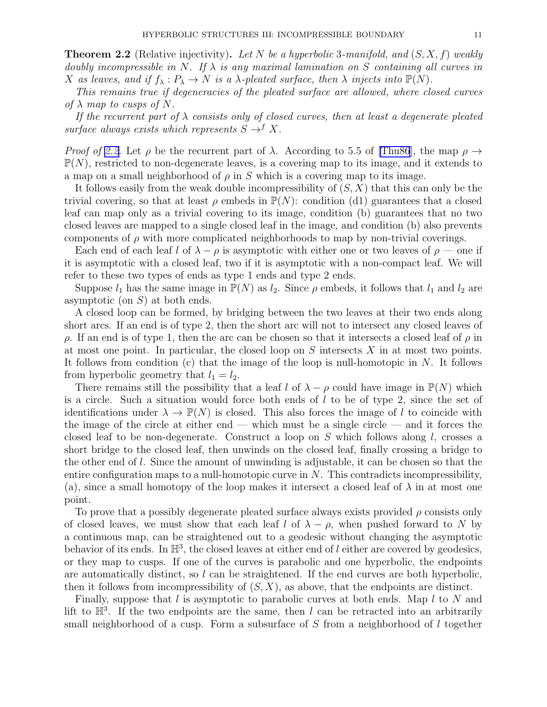**Theorem 2.2** (Relative injectivity). Let N be a hyperbolic 3-manifold, and  $(S, X, f)$  weakly doubly incompressible in N. If  $\lambda$  is any maximal lamination on S containing all curves in X as leaves, and if  $f_{\lambda}: P_{\lambda} \to N$  is a  $\lambda$ -pleated surface, then  $\lambda$  injects into  $\mathbb{P}(N)$ .

This remains true if degeneracies of the pleated surface are allowed, where closed curves of  $\lambda$  map to cusps of N.

If the recurrent part of  $\lambda$  consists only of closed curves, then at least a degenerate pleated surface always exists which represents  $S \rightarrow^{f} X$ .

*Proof of [2.2.](#page-9-0)* Let  $\rho$  be the recurrent part of  $\lambda$ . According to 5.5 of [\[Thu86](#page-18-0)], the map  $\rho \rightarrow$  $\mathbb{P}(N)$ , restricted to non-degenerate leaves, is a covering map to its image, and it extends to a map on a small neighborhood of  $\rho$  in S which is a covering map to its image.

It follows easily from the weak double incompressibility of  $(S, X)$  that this can only be the trivial covering, so that at least  $\rho$  embeds in  $\mathbb{P}(N)$ : condition (d1) guarantees that a closed leaf can map only as a trivial covering to its image, condition (b) guarantees that no two closed leaves are mapped to a single closed leaf in the image, and condition (b) also prevents components of  $\rho$  with more complicated neighborhoods to map by non-trivial coverings.

Each end of each leaf l of  $\lambda - \rho$  is asymptotic with either one or two leaves of  $\rho$  — one if it is asymptotic with a closed leaf, two if it is asymptotic with a non-compact leaf. We will refer to these two types of ends as type 1 ends and type 2 ends.

Suppose  $l_1$  has the same image in  $\mathbb{P}(N)$  as  $l_2$ . Since  $\rho$  embeds, it follows that  $l_1$  and  $l_2$  are asymptotic (on  $S$ ) at both ends.

A closed loop can be formed, by bridging between the two leaves at their two ends along short arcs. If an end is of type 2, then the short arc will not to intersect any closed leaves of  $ρ$ . If an end is of type 1, then the arc can be chosen so that it intersects a closed leaf of  $ρ$  in at most one point. In particular, the closed loop on S intersects X in at most two points. It follows from condition (c) that the image of the loop is null-homotopic in  $N$ . It follows from hyperbolic geometry that  $l_1 = l_2$ .

There remains still the possibility that a leaf l of  $\lambda - \rho$  could have image in  $\mathbb{P}(N)$  which is a circle. Such a situation would force both ends of l to be of type 2, since the set of identifications under  $\lambda \to \mathbb{P}(N)$  is closed. This also forces the image of l to coincide with the image of the circle at either end — which must be a single circle — and it forces the closed leaf to be non-degenerate. Construct a loop on S which follows along  $l$ , crosses a short bridge to the closed leaf, then unwinds on the closed leaf, finally crossing a bridge to the other end of l. Since the amount of unwinding is adjustable, it can be chosen so that the entire configuration maps to a null-homotopic curve in  $N$ . This contradicts incompressibility, (a), since a small homotopy of the loop makes it intersect a closed leaf of  $\lambda$  in at most one point.

To prove that a possibly degenerate pleated surface always exists provided  $\rho$  consists only of closed leaves, we must show that each leaf l of  $\lambda - \rho$ , when pushed forward to N by a continuous map, can be straightened out to a geodesic without changing the asymptotic behavior of its ends. In  $\mathbb{H}^3$ , the closed leaves at either end of l either are covered by geodesics, or they map to cusps. If one of the curves is parabolic and one hyperbolic, the endpoints are automatically distinct, so l can be straightened. If the end curves are both hyperbolic, then it follows from incompressibility of  $(S, X)$ , as above, that the endpoints are distinct.

Finally, suppose that  $l$  is asymptotic to parabolic curves at both ends. Map  $l$  to  $N$  and lift to  $\mathbb{H}^3$ . If the two endpoints are the same, then l can be retracted into an arbitrarily small neighborhood of a cusp. Form a subsurface of S from a neighborhood of l together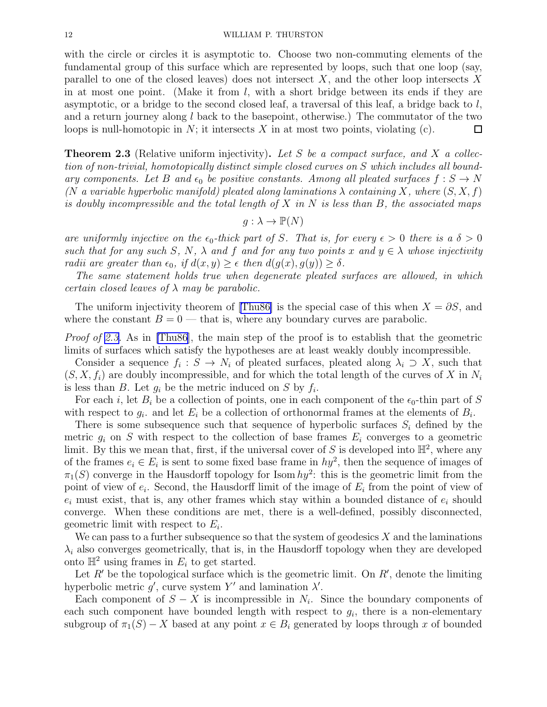<span id="page-11-0"></span>with the circle or circles it is asymptotic to. Choose two non-commuting elements of the fundamental group of this surface which are represented by loops, such that one loop (say, parallel to one of the closed leaves) does not intersect  $X$ , and the other loop intersects X in at most one point. (Make it from  $l$ , with a short bridge between its ends if they are asymptotic, or a bridge to the second closed leaf, a traversal of this leaf, a bridge back to  $l$ , and a return journey along  $l$  back to the basepoint, otherwise.) The commutator of the two loops is null-homotopic in  $N$ ; it intersects X in at most two points, violating  $(c)$ .  $\Box$ 

**Theorem 2.3** (Relative uniform injectivity). Let S be a compact surface, and X a collection of non-trivial, homotopically distinct simple closed curves on S which includes all boundary components. Let B and  $\epsilon_0$  be positive constants. Among all pleated surfaces  $f : S \to N$ (N a variable hyperbolic manifold) pleated along laminations  $\lambda$  containing X, where  $(S, X, f)$ is doubly incompressible and the total length of X in N is less than B, the associated maps

$$
g: \lambda \to \mathbb{P}(N)
$$

are uniformly injective on the  $\epsilon_0$ -thick part of S. That is, for every  $\epsilon > 0$  there is a  $\delta > 0$ such that for any such S, N,  $\lambda$  and f and for any two points x and  $y \in \lambda$  whose injectivity radii are greater than  $\epsilon_0$ , if  $d(x, y) \geq \epsilon$  then  $d(g(x), g(y)) \geq \delta$ .

The same statement holds true when degenerate pleated surfaces are allowed, in which certain closed leaves of  $\lambda$  may be parabolic.

Theuniform injectivity theorem of [[Thu86\]](#page-18-0) is the special case of this when  $X = \partial S$ , and where the constant  $B = 0$  — that is, where any boundary curves are parabolic.

Proof of 2.3. As in [\[Thu86](#page-18-0)], the main step of the proof is to establish that the geometric limits of surfaces which satisfy the hypotheses are at least weakly doubly incompressible.

Consider a sequence  $f_i: S \to N_i$  of pleated surfaces, pleated along  $\lambda_i \supset X$ , such that  $(S, X, f_i)$  are doubly incompressible, and for which the total length of the curves of X in  $N_i$ is less than B. Let  $g_i$  be the metric induced on S by  $f_i$ .

For each i, let  $B_i$  be a collection of points, one in each component of the  $\epsilon_0$ -thin part of S with respect to  $g_i$ , and let  $E_i$  be a collection of orthonormal frames at the elements of  $B_i$ .

There is some subsequence such that sequence of hyperbolic surfaces  $S_i$  defined by the metric  $g_i$  on S with respect to the collection of base frames  $E_i$  converges to a geometric limit. By this we mean that, first, if the universal cover of S is developed into  $\mathbb{H}^2$ , where any of the frames  $e_i \in E_i$  is sent to some fixed base frame in  $hy^2$ , then the sequence of images of  $\pi_1(S)$  converge in the Hausdorff topology for Isom  $hy^2$ : this is the geometric limit from the point of view of  $e_i$ . Second, the Hausdorff limit of the image of  $E_i$  from the point of view of  $e_i$  must exist, that is, any other frames which stay within a bounded distance of  $e_i$  should converge. When these conditions are met, there is a well-defined, possibly disconnected, geometric limit with respect to  $E_i$ .

We can pass to a further subsequence so that the system of geodesics  $X$  and the laminations  $\lambda_i$  also converges geometrically, that is, in the Hausdorff topology when they are developed onto  $\mathbb{H}^2$  using frames in  $E_i$  to get started.

Let  $R'$  be the topological surface which is the geometric limit. On  $R'$ , denote the limiting hyperbolic metric  $g'$ , curve system Y' and lamination  $\lambda'$ .

Each component of  $S - X$  is incompressible in  $N_i$ . Since the boundary components of each such component have bounded length with respect to  $g_i$ , there is a non-elementary subgroup of  $\pi_1(S) - X$  based at any point  $x \in B_i$  generated by loops through x of bounded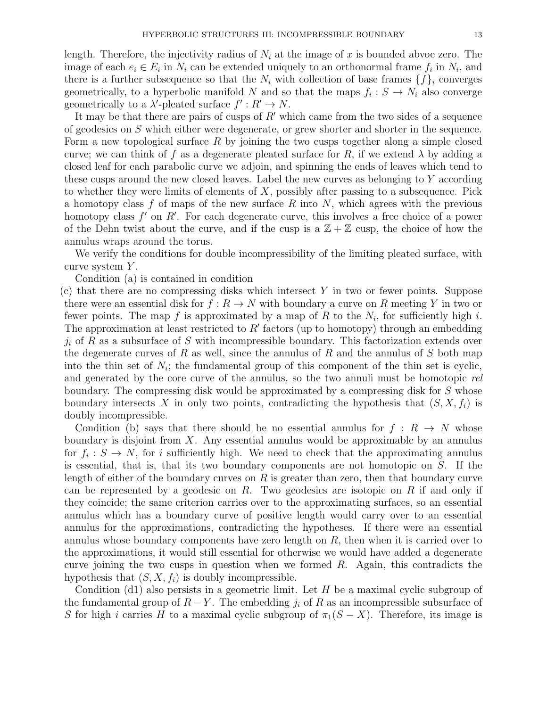length. Therefore, the injectivity radius of  $N_i$  at the image of x is bounded abvoe zero. The image of each  $e_i \in E_i$  in  $N_i$  can be extended uniquely to an orthonormal frame  $f_i$  in  $N_i$ , and there is a further subsequence so that the  $N_i$  with collection of base frames  $\{f\}_i$  converges geometrically, to a hyperbolic manifold N and so that the maps  $f_i: S \to N_i$  also converge geometrically to a  $\lambda'$ -pleated surface  $f': R' \to N$ .

It may be that there are pairs of cusps of R′ which came from the two sides of a sequence of geodesics on S which either were degenerate, or grew shorter and shorter in the sequence. Form a new topological surface  $R$  by joining the two cusps together along a simple closed curve; we can think of f as a degenerate pleated surface for R, if we extend  $\lambda$  by adding a closed leaf for each parabolic curve we adjoin, and spinning the ends of leaves which tend to these cusps around the new closed leaves. Label the new curves as belonging to  $Y$  according to whether they were limits of elements of  $X$ , possibly after passing to a subsequence. Pick a homotopy class f of maps of the new surface R into N, which agrees with the previous homotopy class  $f'$  on  $R'$ . For each degenerate curve, this involves a free choice of a power of the Dehn twist about the curve, and if the cusp is a  $\mathbb{Z} + \mathbb{Z}$  cusp, the choice of how the annulus wraps around the torus.

We verify the conditions for double incompressibility of the limiting pleated surface, with curve system Y.

Condition (a) is contained in condition

 $(c)$  that there are no compressing disks which intersect Y in two or fewer points. Suppose there were an essential disk for  $f: R \to N$  with boundary a curve on R meeting Y in two or fewer points. The map f is approximated by a map of R to the  $N_i$ , for sufficiently high i. The approximation at least restricted to  $R'$  factors (up to homotopy) through an embedding  $j_i$  of R as a subsurface of S with incompressible boundary. This factorization extends over the degenerate curves of R as well, since the annulus of R and the annulus of S both map into the thin set of  $N_i$ ; the fundamental group of this component of the thin set is cyclic, and generated by the core curve of the annulus, so the two annuli must be homotopic rel boundary. The compressing disk would be approximated by a compressing disk for S whose boundary intersects X in only two points, contradicting the hypothesis that  $(S, X, f_i)$  is doubly incompressible.

Condition (b) says that there should be no essential annulus for  $f: R \to N$  whose boundary is disjoint from  $X$ . Any essential annulus would be approximable by an annulus for  $f_i: S \to N$ , for i sufficiently high. We need to check that the approximating annulus is essential, that is, that its two boundary components are not homotopic on  $S$ . If the length of either of the boundary curves on  $R$  is greater than zero, then that boundary curve can be represented by a geodesic on  $R$ . Two geodesics are isotopic on  $R$  if and only if they coincide; the same criterion carries over to the approximating surfaces, so an essential annulus which has a boundary curve of positive length would carry over to an essential annulus for the approximations, contradicting the hypotheses. If there were an essential annulus whose boundary components have zero length on  $R$ , then when it is carried over to the approximations, it would still essential for otherwise we would have added a degenerate curve joining the two cusps in question when we formed  $R$ . Again, this contradicts the hypothesis that  $(S, X, f_i)$  is doubly incompressible.

Condition (d1) also persists in a geometric limit. Let  $H$  be a maximal cyclic subgroup of the fundamental group of  $R - Y$ . The embedding  $j_i$  of R as an incompressible subsurface of S for high i carries H to a maximal cyclic subgroup of  $\pi_1(S - X)$ . Therefore, its image is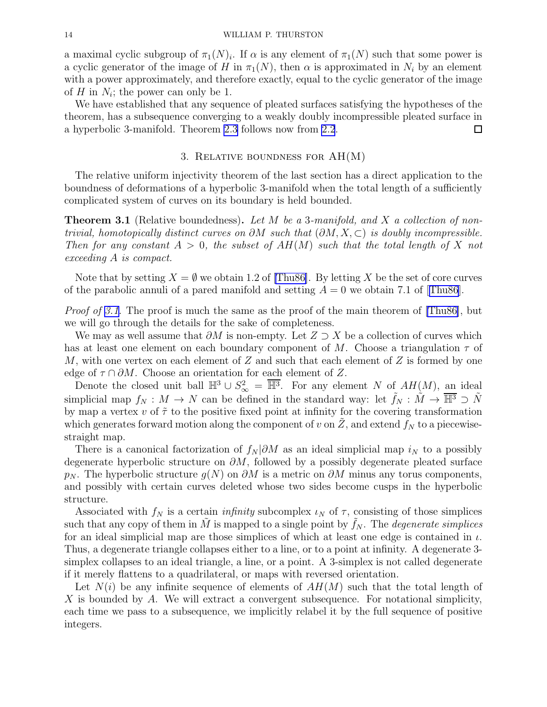<span id="page-13-0"></span>a maximal cyclic subgroup of  $\pi_1(N)_i$ . If  $\alpha$  is any element of  $\pi_1(N)$  such that some power is a cyclic generator of the image of H in  $\pi_1(N)$ , then  $\alpha$  is approximated in  $N_i$  by an element with a power approximately, and therefore exactly, equal to the cyclic generator of the image of  $H$  in  $N_i$ ; the power can only be 1.

We have established that any sequence of pleated surfaces satisfying the hypotheses of the theorem, has a subsequence converging to a weakly doubly incompressible pleated surface in a hyperbolic 3-manifold. Theorem [2.3](#page-11-0) follows now from [2.2](#page-9-0). 口

## 3. Relative boundness for AH(M)

The relative uniform injectivity theorem of the last section has a direct application to the boundness of deformations of a hyperbolic 3-manifold when the total length of a sufficiently complicated system of curves on its boundary is held bounded.

**Theorem 3.1** (Relative boundedness). Let M be a 3-manifold, and X a collection of nontrivial, homotopically distinct curves on  $\partial M$  such that  $(\partial M, X, \subset)$  is doubly incompressible. Then for any constant  $A > 0$ , the subset of  $AH(M)$  such that the total length of X not exceeding A is compact.

Note that by setting  $X = \emptyset$  we obtain 1.2 of [\[Thu86\]](#page-18-0). By letting X be the set of core curves ofthe parabolic annuli of a pared manifold and setting  $A = 0$  we obtain 7.1 of [[Thu86](#page-18-0)].

*Proof of 3.1.* The proof is much the same as the proof of the main theorem of [\[Thu86\]](#page-18-0), but we will go through the details for the sake of completeness.

We may as well assume that  $\partial M$  is non-empty. Let  $Z \supset X$  be a collection of curves which has at least one element on each boundary component of M. Choose a triangulation  $\tau$  of M, with one vertex on each element of  $Z$  and such that each element of  $Z$  is formed by one edge of  $\tau \cap \partial M$ . Choose an orientation for each element of Z.

Denote the closed unit ball  $\mathbb{H}^3 \cup S^2_{\infty} = \overline{\mathbb{H}^3}$ . For any element N of  $AH(M)$ , an ideal simplicial map  $f_N : M \to N$  can be defined in the standard way: let  $f_N : \tilde{M} \to \overline{\mathbb{H}^3} \supset \tilde{N}$ by map a vertex v of  $\tilde{\tau}$  to the positive fixed point at infinity for the covering transformation which generates forward motion along the component of v on  $\tilde{Z}$ , and extend  $f_N$  to a piecewisestraight map.

There is a canonical factorization of  $f_N | \partial M$  as an ideal simplicial map  $i_N$  to a possibly degenerate hyperbolic structure on  $\partial M$ , followed by a possibly degenerate pleated surface  $p_N$ . The hyperbolic structure  $g(N)$  on  $\partial M$  is a metric on  $\partial M$  minus any torus components, and possibly with certain curves deleted whose two sides become cusps in the hyperbolic structure.

Associated with  $f_N$  is a certain *infinity* subcomplex  $\iota_N$  of  $\tau$ , consisting of those simplices such that any copy of them in M is mapped to a single point by  $f_N$ . The *degenerate simplices* for an ideal simplicial map are those simplices of which at least one edge is contained in  $\iota$ . Thus, a degenerate triangle collapses either to a line, or to a point at infinity. A degenerate 3 simplex collapses to an ideal triangle, a line, or a point. A 3-simplex is not called degenerate if it merely flattens to a quadrilateral, or maps with reversed orientation.

Let  $N(i)$  be any infinite sequence of elements of  $AH(M)$  such that the total length of X is bounded by A. We will extract a convergent subsequence. For notational simplicity, each time we pass to a subsequence, we implicitly relabel it by the full sequence of positive integers.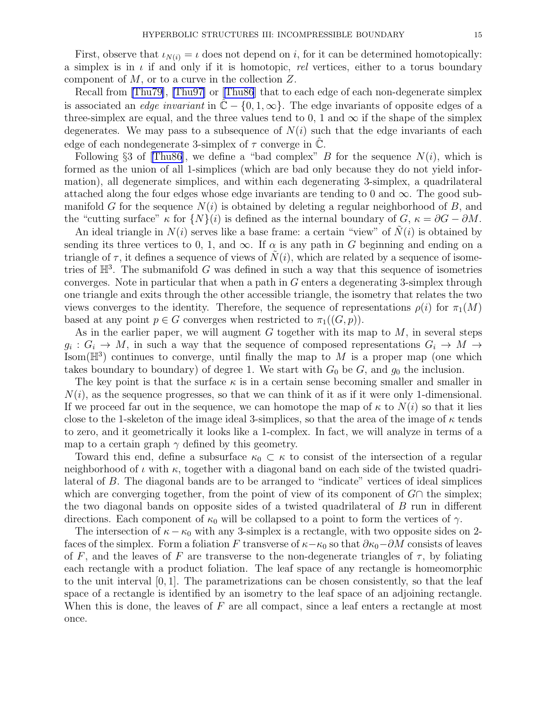First, observe that  $\iota_{N(i)} = \iota$  does not depend on i, for it can be determined homotopically: a simplex is in  $\iota$  if and only if it is homotopic, rel vertices, either to a torus boundary component of  $M$ , or to a curve in the collection  $Z$ .

Recall from [\[Thu79\]](#page-18-0), [\[Thu97\]](#page-18-0) or[[Thu86](#page-18-0)] that to each edge of each non-degenerate simplex is associated an *edge invariant* in  $\mathbb{C} - \{0, 1, \infty\}$ . The edge invariants of opposite edges of a three-simplex are equal, and the three values tend to 0, 1 and  $\infty$  if the shape of the simplex degenerates. We may pass to a subsequence of  $N(i)$  such that the edge invariants of each edge of each nondegenerate 3-simplex of  $\tau$  converge in  $\mathbb{C}$ .

Following §3 of [\[Thu86\]](#page-18-0), we define a "bad complex" B for the sequence  $N(i)$ , which is formed as the union of all 1-simplices (which are bad only because they do not yield information), all degenerate simplices, and within each degenerating 3-simplex, a quadrilateral attached along the four edges whose edge invariants are tending to 0 and  $\infty$ . The good submanifold G for the sequence  $N(i)$  is obtained by deleting a regular neighborhood of B, and the "cutting surface"  $\kappa$  for  $\{N\}(i)$  is defined as the internal boundary of  $G$ ,  $\kappa = \partial G - \partial M$ .

An ideal triangle in  $N(i)$  serves like a base frame: a certain "view" of  $N(i)$  is obtained by sending its three vertices to 0, 1, and  $\infty$ . If  $\alpha$  is any path in G beginning and ending on a triangle of  $\tau$ , it defines a sequence of views of  $N(i)$ , which are related by a sequence of isometries of  $\mathbb{H}^3$ . The submanifold G was defined in such a way that this sequence of isometries converges. Note in particular that when a path in  $G$  enters a degenerating 3-simplex through one triangle and exits through the other accessible triangle, the isometry that relates the two views converges to the identity. Therefore, the sequence of representations  $\rho(i)$  for  $\pi_1(M)$ based at any point  $p \in G$  converges when restricted to  $\pi_1((G, p))$ .

As in the earlier paper, we will augment  $G$  together with its map to  $M$ , in several steps  $g_i: G_i \to M$ , in such a way that the sequence of composed representations  $G_i \to M \to$ Isom( $\mathbb{H}^3$ ) continues to converge, until finally the map to M is a proper map (one which takes boundary to boundary) of degree 1. We start with  $G_0$  be  $G$ , and  $g_0$  the inclusion.

The key point is that the surface  $\kappa$  is in a certain sense becoming smaller and smaller in  $N(i)$ , as the sequence progresses, so that we can think of it as if it were only 1-dimensional. If we proceed far out in the sequence, we can homotope the map of  $\kappa$  to  $N(i)$  so that it lies close to the 1-skeleton of the image ideal 3-simplices, so that the area of the image of  $\kappa$  tends to zero, and it geometrically it looks like a 1-complex. In fact, we will analyze in terms of a map to a certain graph  $\gamma$  defined by this geometry.

Toward this end, define a subsurface  $\kappa_0 \subset \kappa$  to consist of the intersection of a regular neighborhood of  $\iota$  with  $\kappa$ , together with a diagonal band on each side of the twisted quadrilateral of B. The diagonal bands are to be arranged to "indicate" vertices of ideal simplices which are converging together, from the point of view of its component of  $G \cap$  the simplex; the two diagonal bands on opposite sides of a twisted quadrilateral of B run in different directions. Each component of  $\kappa_0$  will be collapsed to a point to form the vertices of  $\gamma$ .

The intersection of  $\kappa - \kappa_0$  with any 3-simplex is a rectangle, with two opposite sides on 2faces of the simplex. Form a foliation F transverse of  $\kappa-\kappa_0$  so that  $\partial \kappa_0-\partial M$  consists of leaves of F, and the leaves of F are transverse to the non-degenerate triangles of  $\tau$ , by foliating each rectangle with a product foliation. The leaf space of any rectangle is homeomorphic to the unit interval  $[0, 1]$ . The parametrizations can be chosen consistently, so that the leaf space of a rectangle is identified by an isometry to the leaf space of an adjoining rectangle. When this is done, the leaves of  $F$  are all compact, since a leaf enters a rectangle at most once.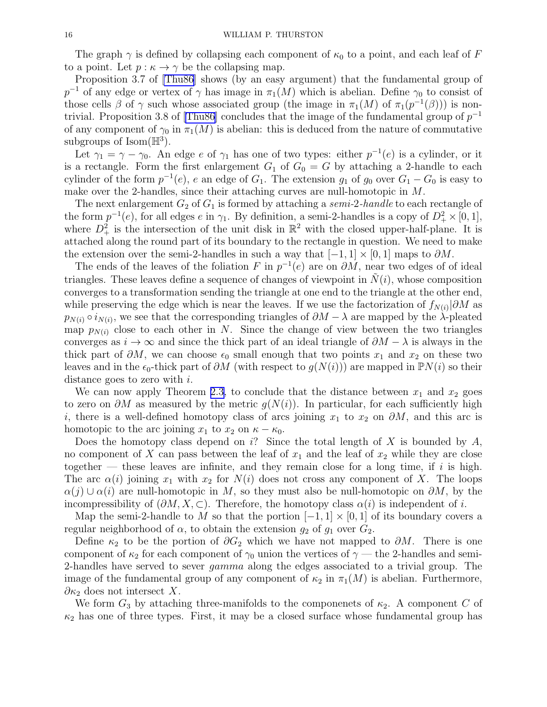The graph  $\gamma$  is defined by collapsing each component of  $\kappa_0$  to a point, and each leaf of F to a point. Let  $p : \kappa \to \gamma$  be the collapsing map.

Proposition 3.7 of [\[Thu86](#page-18-0)] shows (by an easy argument) that the fundamental group of  $p^{-1}$  of any edge or vertex of  $\gamma$  has image in  $\pi_1(M)$  which is abelian. Define  $\gamma_0$  to consist of those cells  $\beta$  of  $\gamma$  such whose associated group (the image in  $\pi_1(M)$  of  $\pi_1(p^{-1}(\beta))$ ) is non-trivial. Proposition 3.8 of [\[Thu86\]](#page-18-0) concludes that the image of the fundamental group of  $p^{-1}$ of any component of  $\gamma_0$  in  $\pi_1(M)$  is abelian: this is deduced from the nature of commutative subgroups of  $\text{Isom}(\mathbb{H}^3)$ .

Let  $\gamma_1 = \gamma - \gamma_0$ . An edge e of  $\gamma_1$  has one of two types: either  $p^{-1}(e)$  is a cylinder, or it is a rectangle. Form the first enlargement  $G_1$  of  $G_0 = G$  by attaching a 2-handle to each cylinder of the form  $p^{-1}(e)$ , e an edge of  $G_1$ . The extension  $g_1$  of  $g_0$  over  $G_1 - G_0$  is easy to make over the 2-handles, since their attaching curves are null-homotopic in M.

The next enlargement  $G_2$  of  $G_1$  is formed by attaching a semi-2-handle to each rectangle of the form  $p^{-1}(e)$ , for all edges  $e$  in  $\gamma_1$ . By definition, a semi-2-handles is a copy of  $D^2_+ \times [0,1]$ , where  $D^2_+$  is the intersection of the unit disk in  $\mathbb{R}^2$  with the closed upper-half-plane. It is attached along the round part of its boundary to the rectangle in question. We need to make the extension over the semi-2-handles in such a way that  $[-1, 1] \times [0, 1]$  maps to  $\partial M$ .

The ends of the leaves of the foliation F in  $p^{-1}(e)$  are on  $\partial M$ , near two edges of of ideal triangles. These leaves define a sequence of changes of viewpoint in  $\tilde{N}(i)$ , whose composition converges to a transformation sending the triangle at one end to the triangle at the other end, while preserving the edge which is near the leaves. If we use the factorization of  $f_{N(i)}|\partial M$  as  $p_{N(i)} \circ i_{N(i)}$ , we see that the corresponding triangles of  $\partial M - \lambda$  are mapped by the  $\lambda$ -pleated map  $p_{N(i)}$  close to each other in N. Since the change of view between the two triangles converges as  $i \to \infty$  and since the thick part of an ideal triangle of  $\partial M - \lambda$  is always in the thick part of  $\partial M$ , we can choose  $\epsilon_0$  small enough that two points  $x_1$  and  $x_2$  on these two leaves and in the  $\epsilon_0$ -thick part of  $\partial M$  (with respect to  $g(N(i))$ ) are mapped in  $\mathbb{P}N(i)$  so their distance goes to zero with i.

We can now apply Theorem [2.3,](#page-11-0) to conclude that the distance between  $x_1$  and  $x_2$  goes to zero on  $\partial M$  as measured by the metric  $g(N(i))$ . In particular, for each sufficiently high i, there is a well-defined homotopy class of arcs joining  $x_1$  to  $x_2$  on  $\partial M$ , and this arc is homotopic to the arc joining  $x_1$  to  $x_2$  on  $\kappa - \kappa_0$ .

Does the homotopy class depend on  $i$ ? Since the total length of X is bounded by A, no component of X can pass between the leaf of  $x_1$  and the leaf of  $x_2$  while they are close together — these leaves are infinite, and they remain close for a long time, if i is high. The arc  $\alpha(i)$  joining  $x_1$  with  $x_2$  for  $N(i)$  does not cross any component of X. The loops  $\alpha(j) \cup \alpha(i)$  are null-homotopic in M, so they must also be null-homotopic on  $\partial M$ , by the incompressibility of  $(\partial M, X, \subset)$ . Therefore, the homotopy class  $\alpha(i)$  is independent of i.

Map the semi-2-handle to M so that the portion  $[-1, 1] \times [0, 1]$  of its boundary covers a regular neighborhood of  $\alpha$ , to obtain the extension  $g_2$  of  $g_1$  over  $G_2$ .

Define  $\kappa_2$  to be the portion of  $\partial G_2$  which we have not mapped to  $\partial M$ . There is one component of  $\kappa_2$  for each component of  $\gamma_0$  union the vertices of  $\gamma$  — the 2-handles and semi-2-handles have served to sever *gamma* along the edges associated to a trivial group. The image of the fundamental group of any component of  $\kappa_2$  in  $\pi_1(M)$  is abelian. Furthermore,  $\partial \kappa_2$  does not intersect X.

We form  $G_3$  by attaching three-manifolds to the componenets of  $\kappa_2$ . A component C of  $\kappa_2$  has one of three types. First, it may be a closed surface whose fundamental group has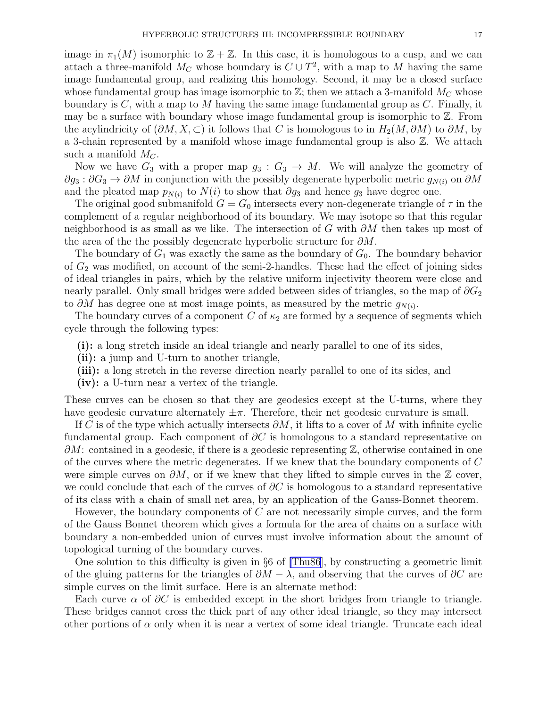image in  $\pi_1(M)$  isomorphic to  $\mathbb{Z} + \mathbb{Z}$ . In this case, it is homologous to a cusp, and we can attach a three-manifold  $M_C$  whose boundary is  $C \cup T^2$ , with a map to M having the same image fundamental group, and realizing this homology. Second, it may be a closed surface whose fundamental group has image isomorphic to  $\mathbb{Z}$ ; then we attach a 3-manifold  $M_C$  whose boundary is  $C$ , with a map to M having the same image fundamental group as  $C$ . Finally, it may be a surface with boundary whose image fundamental group is isomorphic to Z. From the acylindricity of  $(\partial M, X, \subset)$  it follows that C is homologous to in  $H_2(M, \partial M)$  to  $\partial M$ , by a 3-chain represented by a manifold whose image fundamental group is also Z. We attach such a manifold  $M_C$ .

Now we have  $G_3$  with a proper map  $g_3: G_3 \to M$ . We will analyze the geometry of  $\partial g_3 : \partial G_3 \to \partial M$  in conjunction with the possibly degenerate hyperbolic metric  $g_{N(i)}$  on  $\partial M$ and the pleated map  $p_{N(i)}$  to  $N(i)$  to show that  $\partial g_3$  and hence  $g_3$  have degree one.

The original good submanifold  $G = G_0$  intersects every non-degenerate triangle of  $\tau$  in the complement of a regular neighborhood of its boundary. We may isotope so that this regular neighborhood is as small as we like. The intersection of G with  $\partial M$  then takes up most of the area of the the possibly degenerate hyperbolic structure for  $\partial M$ .

The boundary of  $G_1$  was exactly the same as the boundary of  $G_0$ . The boundary behavior of  $G_2$  was modified, on account of the semi-2-handles. These had the effect of joining sides of ideal triangles in pairs, which by the relative uniform injectivity theorem were close and nearly parallel. Only small bridges were added between sides of triangles, so the map of  $\partial G_2$ to  $\partial M$  has degree one at most image points, as measured by the metric  $g_{N(i)}$ .

The boundary curves of a component C of  $\kappa_2$  are formed by a sequence of segments which cycle through the following types:

- (i): a long stretch inside an ideal triangle and nearly parallel to one of its sides,
- (ii): a jump and U-turn to another triangle,
- (iii): a long stretch in the reverse direction nearly parallel to one of its sides, and
- (iv): a U-turn near a vertex of the triangle.

These curves can be chosen so that they are geodesics except at the U-turns, where they have geodesic curvature alternately  $\pm \pi$ . Therefore, their net geodesic curvature is small.

If C is of the type which actually intersects  $\partial M$ , it lifts to a cover of M with infinite cyclic fundamental group. Each component of  $\partial C$  is homologous to a standard representative on  $\partial M$ : contained in a geodesic, if there is a geodesic representing  $\mathbb{Z}$ , otherwise contained in one of the curves where the metric degenerates. If we knew that the boundary components of C were simple curves on  $\partial M$ , or if we knew that they lifted to simple curves in the Z cover, we could conclude that each of the curves of  $\partial C$  is homologous to a standard representative of its class with a chain of small net area, by an application of the Gauss-Bonnet theorem.

However, the boundary components of  $C$  are not necessarily simple curves, and the form of the Gauss Bonnet theorem which gives a formula for the area of chains on a surface with boundary a non-embedded union of curves must involve information about the amount of topological turning of the boundary curves.

One solution to this difficulty is given in §6 of [\[Thu86](#page-18-0)], by constructing a geometric limit of the gluing patterns for the triangles of  $\partial M - \lambda$ , and observing that the curves of  $\partial C$  are simple curves on the limit surface. Here is an alternate method:

Each curve  $\alpha$  of  $\partial C$  is embedded except in the short bridges from triangle to triangle. These bridges cannot cross the thick part of any other ideal triangle, so they may intersect other portions of  $\alpha$  only when it is near a vertex of some ideal triangle. Truncate each ideal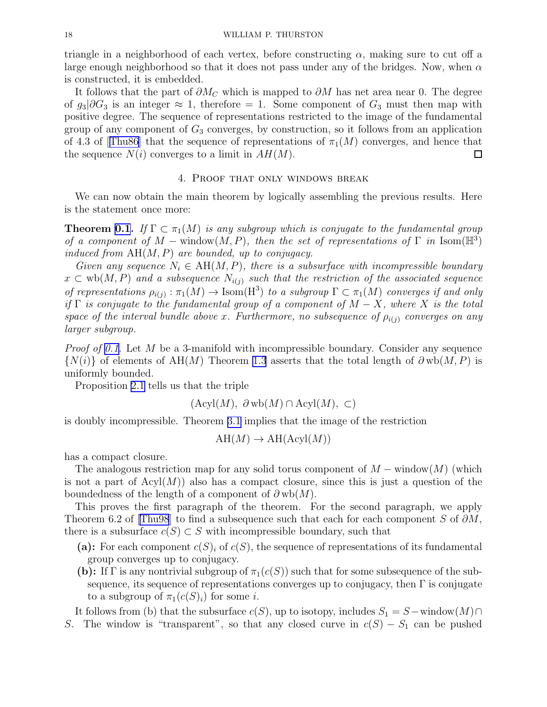triangle in a neighborhood of each vertex, before constructing  $\alpha$ , making sure to cut off a large enough neighborhood so that it does not pass under any of the bridges. Now, when  $\alpha$ is constructed, it is embedded.

It follows that the part of  $\partial M_C$  which is mapped to  $\partial M$  has net area near 0. The degree of  $g_3|\partial G_3$  is an integer  $\approx 1$ , therefore = 1. Some component of  $G_3$  must then map with positive degree. The sequence of representations restricted to the image of the fundamental group of any component of  $G_3$  converges, by construction, so it follows from an application of4.3 of [[Thu86](#page-18-0)] that the sequence of representations of  $\pi_1(M)$  converges, and hence that the sequence  $N(i)$  converges to a limit in  $AH(M)$ .  $\Box$ 

## 4. Proof that only windows break

We can now obtain the main theorem by logically assembling the previous results. Here is the statement once more:

**Theorem [0.1](#page-1-0).** If  $\Gamma \subset \pi_1(M)$  is any subgroup which is conjugate to the fundamental group of a component of  $M$  – window $(M, P)$ , then the set of representations of  $\Gamma$  in Isom $(\mathbb{H}^3)$ induced from  $AH(M, P)$  are bounded, up to conjugacy.

Given any sequence  $N_i \in AH(M, P)$ , there is a subsurface with incompressible boundary  $x \text{ }\subset \text{wb}(M, P)$  and a subsequence  $N_{i(j)}$  such that the restriction of the associated sequence of representations  $\rho_{i(j)} : \pi_1(M) \to \text{Isom}(H^3)$  to a subgroup  $\Gamma \subset \pi_1(M)$  converges if and only if Γ is conjugate to the fundamental group of a component of  $M - X$ , where X is the total space of the interval bundle above x. Furthermore, no subsequence of  $\rho_{i(j)}$  converges on any larger subgroup.

*Proof of [0.1.](#page-1-0)* Let M be a 3-manifold with incompressible boundary. Consider any sequence  $\{N(i)\}\$  of elements of AH(M) Theorem [1.3](#page-7-0) asserts that the total length of  $\partial w b(M, P)$  is uniformly bounded.

Proposition [2.1](#page-9-0) tells us that the triple

$$
(\text{Acyl}(M), \partial \text{wb}(M) \cap \text{Acyl}(M), \subset)
$$

is doubly incompressible. Theorem [3.1](#page-13-0) implies that the image of the restriction

$$
AH(M) \to AH(Acyl(M))
$$

has a compact closure.

The analogous restriction map for any solid torus component of  $M$  – window $(M)$  (which is not a part of  $Acyl(M)$  also has a compact closure, since this is just a question of the boundedness of the length of a component of  $\partial w b(M)$ .

This proves the first paragraph of the theorem. For the second paragraph, we apply Theorem6.2 of [[Thu98](#page-18-0)] to find a subsequence such that each for each component S of  $\partial M$ , there is a subsurface  $c(S) \subset S$  with incompressible boundary, such that

- (a): For each component  $c(S_i)$  of  $c(S)$ , the sequence of representations of its fundamental group converges up to conjugacy.
- (b): If  $\Gamma$  is any nontrivial subgroup of  $\pi_1(c(S))$  such that for some subsequence of the subsequence, its sequence of representations converges up to conjugacy, then  $\Gamma$  is conjugate to a subgroup of  $\pi_1(c(S)_i)$  for some *i*.

It follows from (b) that the subsurface  $c(S)$ , up to isotopy, includes  $S_1 = S$  – window $(M) \cap$ S. The window is "transparent", so that any closed curve in  $c(S) - S_1$  can be pushed